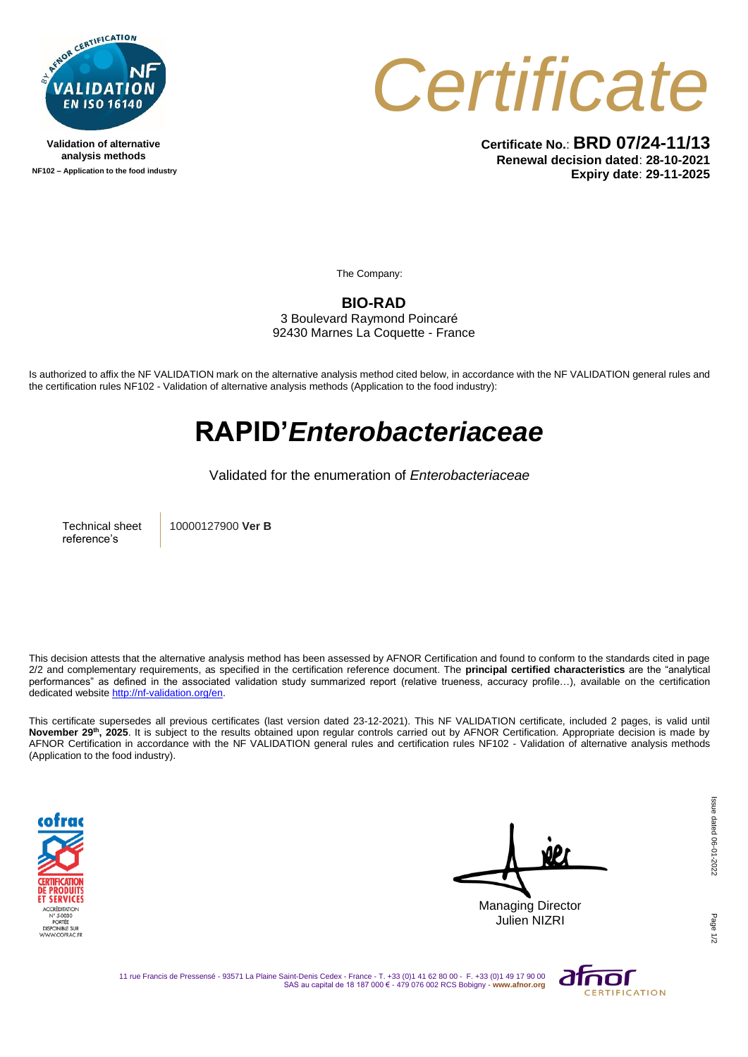

**Validation of alternative analysis methods NF102 – Application to the food industry**



**Certificate No.**: **BRD 07/24-11/13 Renewal decision dated**: **28-10-2021 Expiry date**: **29-11-2025**

The Company:

**BIO-RAD**

3 Boulevard Raymond Poincaré 92430 Marnes La Coquette - France

Is authorized to affix the NF VALIDATION mark on the alternative analysis method cited below, in accordance with the NF VALIDATION general rules and the certification rules NF102 - Validation of alternative analysis methods (Application to the food industry):

## **RAPID'***Enterobacteriaceae*

Validated for the enumeration of *Enterobacteriaceae*

Technical sheet reference's

10000127900 **Ver B**

This decision attests that the alternative analysis method has been assessed by AFNOR Certification and found to conform to the standards cited in page 2/2 and complementary requirements, as specified in the certification reference document. The **principal certified characteristics** are the "analytical performances" as defined in the associated validation study summarized report (relative trueness, accuracy profile...), available on the certification dedicated websit[e http://nf-validation.org/en.](http://nf-validation.org/en)

This certificate supersedes all previous certificates (last version dated 23-12-2021). This NF VALIDATION certificate, included 2 pages, is valid until **November 29th, 2025**. It is subject to the results obtained upon regular controls carried out by AFNOR Certification. Appropriate decision is made by AFNOR Certification in accordance with the NF VALIDATION general rules and certification rules NF102 - Validation of alternative analysis methods (Application to the food industry).



Managing Director Julien NIZRI

Page

11 rue Francis de Pressensé - 93571 La Plaine Saint-Denis Cedex - France - T. +33 (0)1 41 62 80 00 - F. +33 (0)1 49 17 90 00 SAS au capital de 18 187 000 € - 479 076 002 RCS Bobigny - **www.afnor.org**